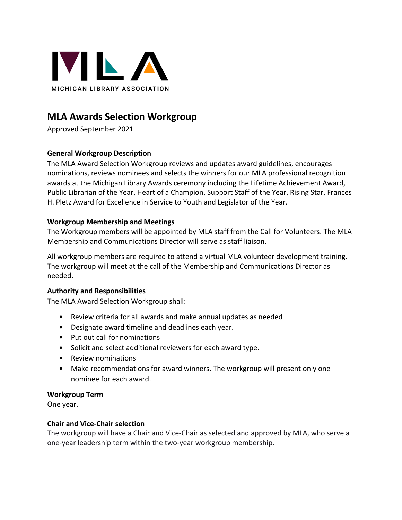

# **MLA Awards Selection Workgroup**

Approved September 2021

# **General Workgroup Description**

The MLA Award Selection Workgroup reviews and updates award guidelines, encourages nominations, reviews nominees and selects the winners for our MLA professional recognition awards at the Michigan Library Awards ceremony including the Lifetime Achievement Award, Public Librarian of the Year, Heart of a Champion, Support Staff of the Year, Rising Star, Frances H. Pletz Award for Excellence in Service to Youth and Legislator of the Year.

# **Workgroup Membership and Meetings**

The Workgroup members will be appointed by MLA staff from the Call for Volunteers. The MLA Membership and Communications Director will serve as staff liaison.

All workgroup members are required to attend a virtual MLA volunteer development training. The workgroup will meet at the call of the Membership and Communications Director as needed.

# **Authority and Responsibilities**

The MLA Award Selection Workgroup shall:

- Review criteria for all awards and make annual updates as needed
- Designate award timeline and deadlines each year.
- Put out call for nominations
- Solicit and select additional reviewers for each award type.
- Review nominations
- Make recommendations for award winners. The workgroup will present only one nominee for each award.

#### **Workgroup Term**

One year.

#### **Chair and Vice-Chair selection**

The workgroup will have a Chair and Vice-Chair as selected and approved by MLA, who serve a one-year leadership term within the two-year workgroup membership.